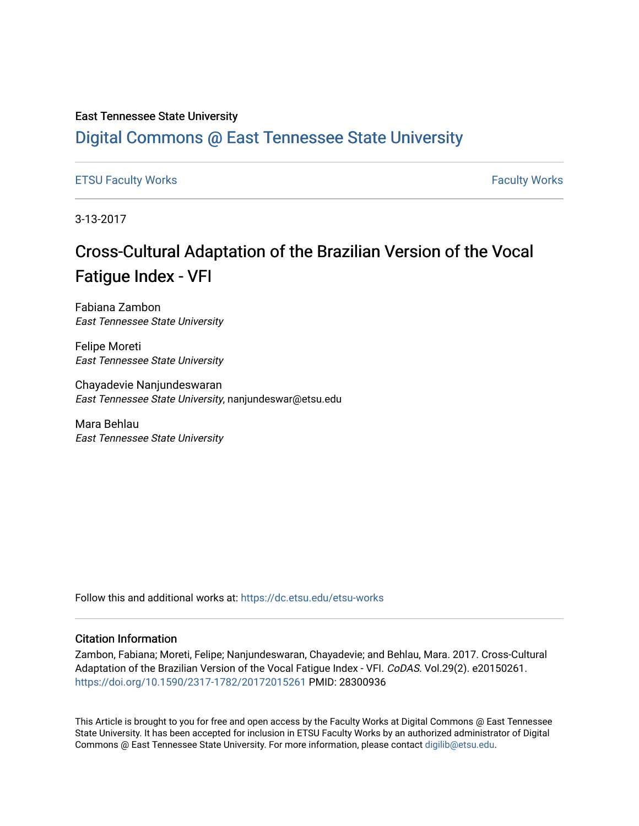### East Tennessee State University

# [Digital Commons @ East Tennessee State University](https://dc.etsu.edu/)

### [ETSU Faculty Works](https://dc.etsu.edu/etsu-works) [Faculty Works](https://dc.etsu.edu/faculty-works)

3-13-2017

# Cross-Cultural Adaptation of the Brazilian Version of the Vocal Fatigue Index - VFI

Fabiana Zambon East Tennessee State University

Felipe Moreti East Tennessee State University

Chayadevie Nanjundeswaran East Tennessee State University, nanjundeswar@etsu.edu

Mara Behlau East Tennessee State University

Follow this and additional works at: [https://dc.etsu.edu/etsu-works](https://dc.etsu.edu/etsu-works?utm_source=dc.etsu.edu%2Fetsu-works%2F10670&utm_medium=PDF&utm_campaign=PDFCoverPages) 

### Citation Information

Zambon, Fabiana; Moreti, Felipe; Nanjundeswaran, Chayadevie; and Behlau, Mara. 2017. Cross-Cultural Adaptation of the Brazilian Version of the Vocal Fatigue Index - VFI. CoDAS. Vol.29(2). e20150261. <https://doi.org/10.1590/2317-1782/20172015261> PMID: 28300936

This Article is brought to you for free and open access by the Faculty Works at Digital Commons @ East Tennessee State University. It has been accepted for inclusion in ETSU Faculty Works by an authorized administrator of Digital Commons @ East Tennessee State University. For more information, please contact [digilib@etsu.edu.](mailto:digilib@etsu.edu)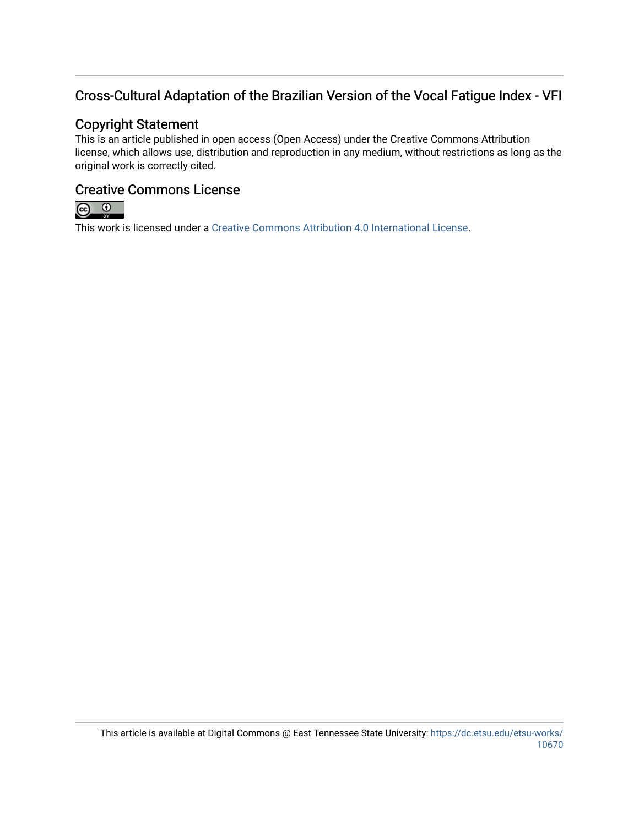## Cross-Cultural Adaptation of the Brazilian Version of the Vocal Fatigue Index - VFI

## Copyright Statement

This is an article published in open access (Open Access) under the Creative Commons Attribution license, which allows use, distribution and reproduction in any medium, without restrictions as long as the original work is correctly cited.

## Creative Commons License



This work is licensed under a [Creative Commons Attribution 4.0 International License.](https://creativecommons.org/licenses/by/4.0/)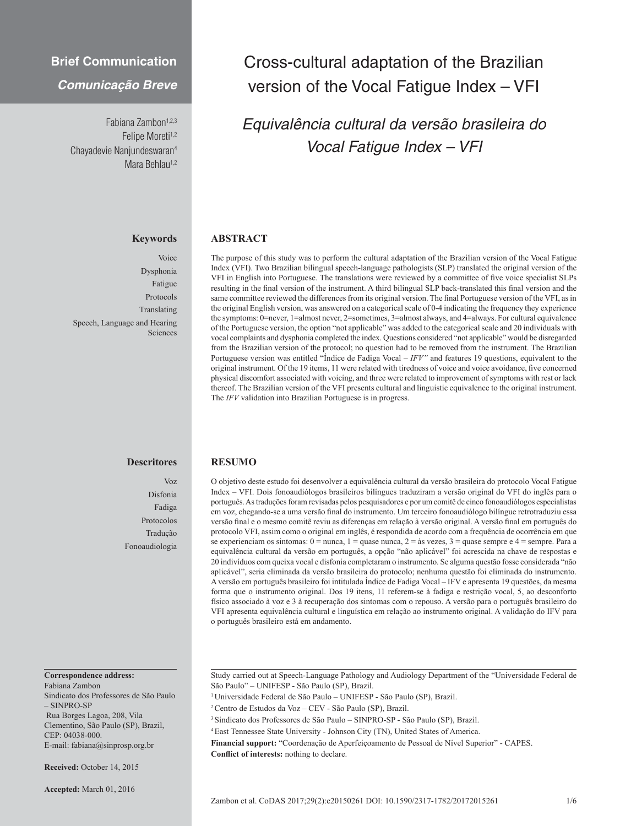## **Brief Communication**

### *Comunicação Breve*

Fabiana Zambon<sup>1,2,3</sup> Felipe Moreti<sup>1,2</sup> Chayadevie Nanjundeswaran4 Mara Behlau<sup>1,2</sup>

### **Keywords**

Voice Dysphonia Fatigue Protocols Translating Speech, Language and Hearing Sciences

# **Descritores**

Voz Disfonia Fadiga Protocolos Tradução Fonoaudiologia

### **Correspondence address:**

Fabiana Zambon Sindicato dos Professores de São Paulo – SINPRO-SP Rua Borges Lagoa, 208, Vila Clementino, São Paulo (SP), Brazil, CEP: 04038-000. E-mail: fabiana@sinprosp.org.br

**Received:** October 14, 2015

**Accepted:** March 01, 2016

# Cross-cultural adaptation of the Brazilian version of the Vocal Fatigue Index – VFI

# *Equivalência cultural da versão brasileira do Vocal Fatigue Index – VFI*

### **ABSTRACT**

The purpose of this study was to perform the cultural adaptation of the Brazilian version of the Vocal Fatigue Index (VFI). Two Brazilian bilingual speech-language pathologists (SLP) translated the original version of the VFI in English into Portuguese. The translations were reviewed by a committee of five voice specialist SLPs resulting in the final version of the instrument. A third bilingual SLP back-translated this final version and the same committee reviewed the differences from its original version. The final Portuguese version of the VFI, as in the original English version, was answered on a categorical scale of 0-4 indicating the frequency they experience the symptoms: 0=never, 1=almost never, 2=sometimes, 3=almost always, and 4=always. For cultural equivalence of the Portuguese version, the option "not applicable" was added to the categorical scale and 20 individuals with vocal complaints and dysphonia completed the index. Questions considered "not applicable" would be disregarded from the Brazilian version of the protocol; no question had to be removed from the instrument. The Brazilian Portuguese version was entitled "Índice de Fadiga Vocal – *IFV"* and features 19 questions, equivalent to the original instrument. Of the 19 items, 11 were related with tiredness of voice and voice avoidance, five concerned physical discomfort associated with voicing, and three were related to improvement of symptoms with rest or lack thereof. The Brazilian version of the VFI presents cultural and linguistic equivalence to the original instrument. The *IFV* validation into Brazilian Portuguese is in progress.

#### **RESUMO**

O objetivo deste estudo foi desenvolver a equivalência cultural da versão brasileira do protocolo Vocal Fatigue Index – VFI. Dois fonoaudiólogos brasileiros bilíngues traduziram a versão original do VFI do inglês para o português. As traduções foram revisadas pelos pesquisadores e por um comitê de cinco fonoaudiólogos especialistas em voz, chegando-se a uma versão final do instrumento. Um terceiro fonoaudiólogo bilíngue retrotraduziu essa versão final e o mesmo comitê reviu as diferenças em relação à versão original. A versão final em português do protocolo VFI, assim como o original em inglês, é respondida de acordo com a frequência de ocorrência em que se experienciam os sintomas:  $0 =$  nunca,  $1 =$  quase nunca,  $2 =$  às vezes,  $3 =$  quase sempre e  $4 =$  sempre. Para a equivalência cultural da versão em português, a opção "não aplicável" foi acrescida na chave de respostas e 20 indivíduos com queixa vocal e disfonia completaram o instrumento. Se alguma questão fosse considerada "não aplicável", seria eliminada da versão brasileira do protocolo; nenhuma questão foi eliminada do instrumento. A versão em português brasileiro foi intitulada Índice de Fadiga Vocal – IFV e apresenta 19 questões, da mesma forma que o instrumento original. Dos 19 itens, 11 referem-se à fadiga e restrição vocal, 5, ao desconforto físico associado à voz e 3 à recuperação dos sintomas com o repouso. A versão para o português brasileiro do VFI apresenta equivalência cultural e linguística em relação ao instrumento original. A validação do IFV para o português brasileiro está em andamento.

Study carried out at Speech-Language Pathology and Audiology Department of the "Universidade Federal de São Paulo" – UNIFESP - São Paulo (SP), Brazil.

- 1 Universidade Federal de São Paulo UNIFESP São Paulo (SP), Brazil.
- 2 Centro de Estudos da Voz CEV São Paulo (SP), Brazil.
- 3 Sindicato dos Professores de São Paulo SINPRO-SP São Paulo (SP), Brazil.
- 4 East Tennessee State University Johnson City (TN), United States of America.
- **Financial support:** "Coordenação de Aperfeiçoamento de Pessoal de Nível Superior" CAPES.

**Conflict of interests:** nothing to declare.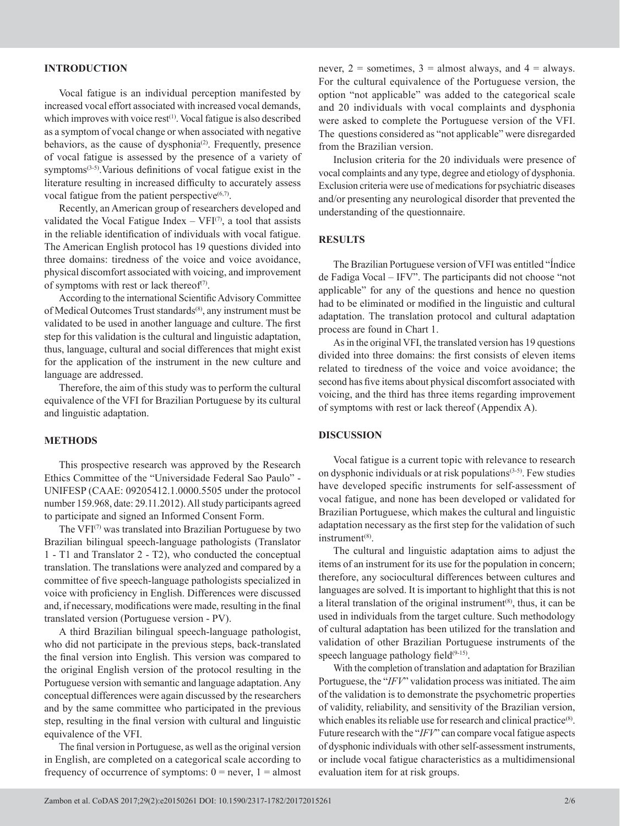### **INTRODUCTION**

Vocal fatigue is an individual perception manifested by increased vocal effort associated with increased vocal demands, which improves with voice rest $(1)$ . Vocal fatigue is also described as a symptom of vocal change or when associated with negative behaviors, as the cause of dysphonia<sup> $(2)$ </sup>. Frequently, presence of vocal fatigue is assessed by the presence of a variety of symptoms<sup>(3-5)</sup>. Various definitions of vocal fatigue exist in the literature resulting in increased difficulty to accurately assess vocal fatigue from the patient perspective $(6,7)$ .

Recently, an American group of researchers developed and validated the Vocal Fatigue Index  $-$  VFI<sup> $(7)$ </sup>, a tool that assists in the reliable identification of individuals with vocal fatigue. The American English protocol has 19 questions divided into three domains: tiredness of the voice and voice avoidance, physical discomfort associated with voicing, and improvement of symptoms with rest or lack thereof<sup> $(7)$ </sup>.

According to the international Scientific Advisory Committee of Medical Outcomes Trust standards<sup>(8)</sup>, any instrument must be validated to be used in another language and culture. The first step for this validation is the cultural and linguistic adaptation, thus, language, cultural and social differences that might exist for the application of the instrument in the new culture and language are addressed.

Therefore, the aim of this study was to perform the cultural equivalence of the VFI for Brazilian Portuguese by its cultural and linguistic adaptation.

### **METHODS**

This prospective research was approved by the Research Ethics Committee of the "Universidade Federal Sao Paulo" - UNIFESP (CAAE: 09205412.1.0000.5505 under the protocol number 159.968, date: 29.11.2012). All study participants agreed to participate and signed an Informed Consent Form.

The VFI<sup>(7)</sup> was translated into Brazilian Portuguese by two Brazilian bilingual speech-language pathologists (Translator 1 - T1 and Translator 2 - T2), who conducted the conceptual translation. The translations were analyzed and compared by a committee of five speech-language pathologists specialized in voice with proficiency in English. Differences were discussed and, if necessary, modifications were made, resulting in the final translated version (Portuguese version - PV).

A third Brazilian bilingual speech-language pathologist, who did not participate in the previous steps, back-translated the final version into English. This version was compared to the original English version of the protocol resulting in the Portuguese version with semantic and language adaptation. Any conceptual differences were again discussed by the researchers and by the same committee who participated in the previous step, resulting in the final version with cultural and linguistic equivalence of the VFI.

The final version in Portuguese, as well as the original version in English, are completed on a categorical scale according to frequency of occurrence of symptoms:  $0 =$  never,  $1 =$  almost

never,  $2 =$  sometimes,  $3 =$  almost always, and  $4 =$  always. For the cultural equivalence of the Portuguese version, the option "not applicable" was added to the categorical scale and 20 individuals with vocal complaints and dysphonia were asked to complete the Portuguese version of the VFI. The questions considered as "not applicable" were disregarded from the Brazilian version.

Inclusion criteria for the 20 individuals were presence of vocal complaints and any type, degree and etiology of dysphonia. Exclusion criteria were use of medications for psychiatric diseases and/or presenting any neurological disorder that prevented the understanding of the questionnaire.

### **RESULTS**

The Brazilian Portuguese version of VFI was entitled "Índice de Fadiga Vocal – IFV". The participants did not choose "not applicable" for any of the questions and hence no question had to be eliminated or modified in the linguistic and cultural adaptation. The translation protocol and cultural adaptation process are found in Chart 1.

As in the original VFI, the translated version has 19 questions divided into three domains: the first consists of eleven items related to tiredness of the voice and voice avoidance; the second has five items about physical discomfort associated with voicing, and the third has three items regarding improvement of symptoms with rest or lack thereof (Appendix A).

### **DISCUSSION**

Vocal fatigue is a current topic with relevance to research on dysphonic individuals or at risk populations $(3-5)$ . Few studies have developed specific instruments for self-assessment of vocal fatigue, and none has been developed or validated for Brazilian Portuguese, which makes the cultural and linguistic adaptation necessary as the first step for the validation of such instrument<sup>(8)</sup>.

The cultural and linguistic adaptation aims to adjust the items of an instrument for its use for the population in concern; therefore, any sociocultural differences between cultures and languages are solved. It is important to highlight that this is not a literal translation of the original instrument<sup> $(8)$ </sup>, thus, it can be used in individuals from the target culture. Such methodology of cultural adaptation has been utilized for the translation and validation of other Brazilian Portuguese instruments of the speech language pathology field $(9-15)$ .

With the completion of translation and adaptation for Brazilian Portuguese, the "*IFV*" validation process was initiated. The aim of the validation is to demonstrate the psychometric properties of validity, reliability, and sensitivity of the Brazilian version, which enables its reliable use for research and clinical practice<sup>(8)</sup>. Future research with the "*IFV*" can compare vocal fatigue aspects of dysphonic individuals with other self-assessment instruments, or include vocal fatigue characteristics as a multidimensional evaluation item for at risk groups.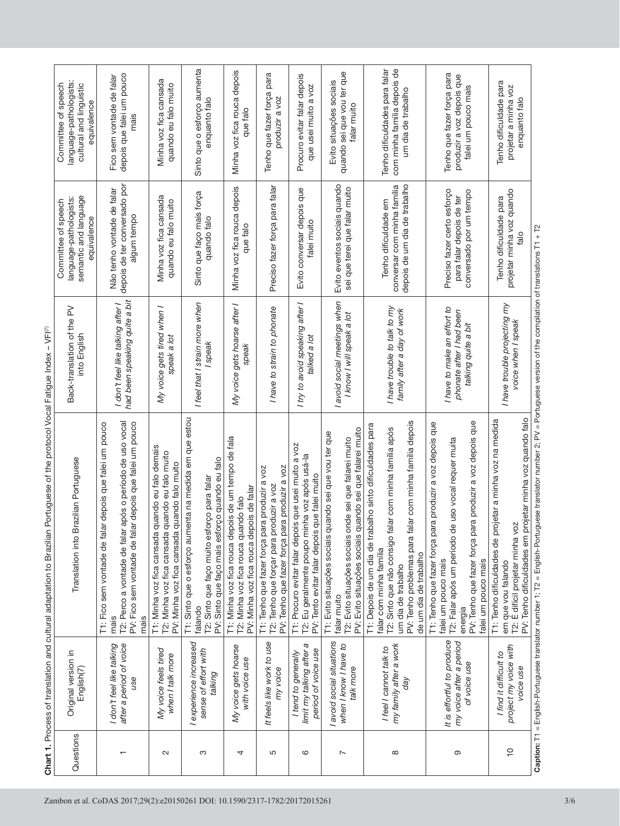| Questions                | Original version in<br>English(7)                                      | Translation into Brazilian Portuguese                                                                                                                                                                                                                   | Back-translation of the PV<br>into English                                     | semantic and language<br>language-pathologists:<br>Committee of speech<br>equivalence | language-pathologists:<br>Committee of speech<br>cultural and linguistic<br>equivalence |
|--------------------------|------------------------------------------------------------------------|---------------------------------------------------------------------------------------------------------------------------------------------------------------------------------------------------------------------------------------------------------|--------------------------------------------------------------------------------|---------------------------------------------------------------------------------------|-----------------------------------------------------------------------------------------|
| $\overline{\phantom{0}}$ | after a period of voice<br>I don't feel like talking<br>use            | após o período de uso vocal<br>PV: Fico sem vontade de falar depois que falei um pouco<br>ar depois que falei um pouco<br>T2: Perco a vontade de falar<br>T1: Fico sem vontade de fal<br>mais<br>mais                                                   | had been speaking quite a bit<br>I don't feel like talking after I             | depois de ter conversado por<br>Não tenho vontade de falar<br>algum tempo             | depois que falei um pouco<br>Fico sem vontade de falar<br>mais                          |
| $\sim$                   | My voice feels tired<br>when I talk more                               | quando eu falo demais<br>quando eu falo muito<br>quando falo muito<br>PV: Minha voz fica cansada<br>T1: Minha voz fica cansada<br>T2: Minha voz fica cansada                                                                                            | My voice gets tired when I<br>speak a lot                                      | Minha voz fica cansada<br>quando eu falo muito                                        | Minha voz fica cansada<br>quando eu falo muito                                          |
| S                        | I experience increased<br>sense of effort with<br>talking              | T1: Sinto que o esforço aumenta na medida em que estou<br>PV: Sinto que faço mais esforço quando eu falo<br>T2: Sinto que faço muito esforço para falar<br>falando                                                                                      | I feel that I strain more when<br>I speak                                      | Sinto que faço mais força<br>quando falo                                              | Sinto que o esforço aumenta<br>enquanto falo                                            |
| 4                        | My voice gets hoarse<br>with voice use                                 | T1: Minha voz fica rouca depois de um tempo de fala<br>PV: Minha voz fica rouca depois de falar<br>T2: Minha voz fica rouca quando falo                                                                                                                 | My voice gets hoarse after I<br>speak                                          | Minha voz fica rouca depois<br>que falo                                               | Minha voz fica rouca depois<br>que falo                                                 |
| 5                        | It feels like work to use<br>my voice                                  | PV: Tenho que fazer força para produzir a voz<br>T1: Tenho que fazer força para produzir a voz<br>T2: Tenho que forçar para produzir a voz                                                                                                              | I have to strain to phonate                                                    | Preciso fazer força para falar                                                        | Tenho que fazer força para<br>produzir a voz                                            |
| 6                        | limit my talking after a<br>period of voice use<br>I tend to generally | T1: Procuro evitar falar depois que usei muito a voz<br>T2: Eu geralmente poupo minha voz após usá-la<br>PV: Tento evitar falar depois que falei muito                                                                                                  | I try to avoid speaking after I<br>talked a lot                                | Evito conversar depois que<br>falei muito                                             | Procuro evitar falar depois<br>que usei muito a voz                                     |
| $\overline{ }$           | I avoid social situations<br>when I know I have to<br>talk more        | quando sei que falarei muito<br>T1: Evito situações sociais quando sei que vou ter que<br>T2: Evito situações sociais onde sei que falarei muito<br>PV: Evito situações sociais<br>falar muito                                                          | I avoid social meetings when<br>I know I will speak a lot                      | Evito eventos sociais quando<br>sei que terei que falar muito                         | quando sei que vou ter que<br>Evito situações sociais<br>falar muito                    |
| ${}^{\circ}$             | my family after a work<br>I feel I cannot talk to<br>day               | PV: Tenho problemas para falar com minha família depois<br>T1: Depois de um dia de trabalho sinto dificuldades para<br>T2: Sinto que não consigo falar com minha família após<br>falar com minha família<br>de um dia de trabalho<br>um dia de trabalho | I have trouble to talk to my<br>family after a day of work                     | depois de um dia de trabalho<br>conversar com minha família<br>Tenho dificuldade em   | Tenho dificuldades para falar<br>com minha família depois de<br>um dia de trabalho      |
| Θ                        | It is effortful to produce<br>my voice after a period<br>of voice use  | PV: Tenho que fazer força para produzir a voz depois que<br>T1: Tenho que fazer força para produzir a voz depois que<br>e uso vocal requer muita<br>T2: Falar após um período d<br>falei um pouco mais<br>falei um pouco mais<br>energia                | I have to make an effort to<br>phonate after I had been<br>talking quite a bit | Preciso fazer certo esforço<br>conversado por um tempo<br>para falar depois de ter    | Tenho que fazer força para<br>produzir a voz depois que<br>falei um pouco mais          |
| $\frac{1}{2}$            | project my voice with<br>I find it difficult to<br>voice use           | PV: Tenho dificuldades em projetar minha voz quando falo<br>T1: Tenho dificuldades de projetar a minha voz na medida<br>T2: É difícil projetar minha voz<br>em que vou falando                                                                          | I have trouble projecting my<br>voice when I speak                             | projetar minha voz quando<br>Tenho dificuldade para<br>falo                           | Tenho dificuldade para<br>projetar a minha voz<br>enquanto falo                         |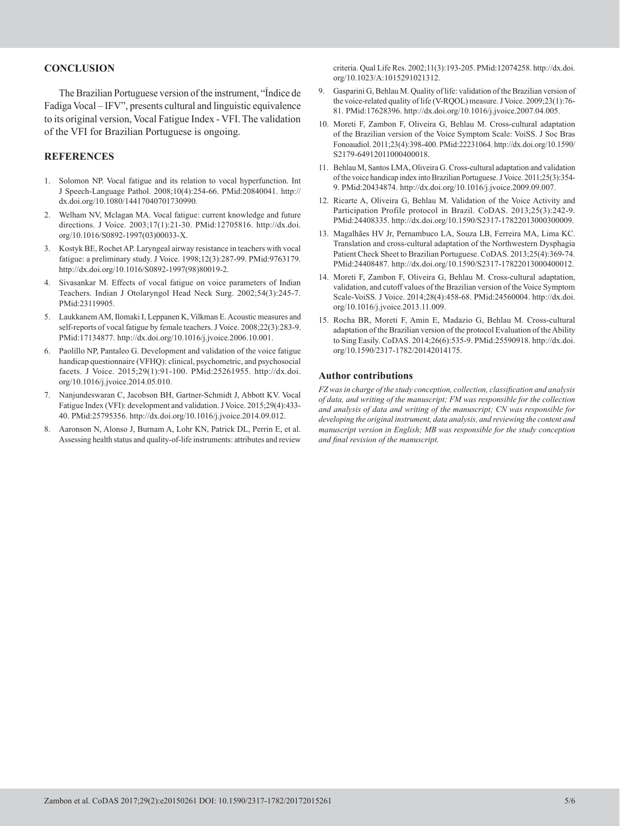### **CONCLUSION**

The Brazilian Portuguese version of the instrument, "Índice de Fadiga Vocal – IFV", presents cultural and linguistic equivalence to its original version, Vocal Fatigue Index - VFI. The validation of the VFI for Brazilian Portuguese is ongoing.

#### **REFERENCES**

- 1. Solomon NP. Vocal fatigue and its relation to vocal hyperfunction. Int J Speech-Language Pathol. 2008;10(4):254-66[. PMid:20840041.](http://www.ncbi.nlm.nih.gov/entrez/query.fcgi?cmd=Retrieve&db=PubMed&list_uids=20840041&dopt=Abstract) [http://](http://dx.doi.org/10.1080/14417040701730990) [dx.doi.org/10.1080/14417040701730990.](http://dx.doi.org/10.1080/14417040701730990)
- Welham NV, Mclagan MA. Vocal fatigue: current knowledge and future directions. J Voice. 2003;17(1):21-30. [PMid:12705816.](http://www.ncbi.nlm.nih.gov/entrez/query.fcgi?cmd=Retrieve&db=PubMed&list_uids=12705816&dopt=Abstract) [http://dx.doi.](http://dx.doi.org/10.1016/S0892-1997(03)00033-X) [org/10.1016/S0892-1997\(03\)00033-X.](http://dx.doi.org/10.1016/S0892-1997(03)00033-X)
- 3. Kostyk BE, Rochet AP. Laryngeal airway resistance in teachers with vocal fatigue: a preliminary study. J Voice. 1998;12(3):287-99[. PMid:9763179.](http://www.ncbi.nlm.nih.gov/entrez/query.fcgi?cmd=Retrieve&db=PubMed&list_uids=9763179&dopt=Abstract) [http://dx.doi.org/10.1016/S0892-1997\(98\)80019-2](http://dx.doi.org/10.1016/S0892-1997(98)80019-2).
- 4. Sivasankar M. Effects of vocal fatigue on voice parameters of Indian Teachers. Indian J Otolaryngol Head Neck Surg. 2002;54(3):245-7. [PMid:23119905.](http://www.ncbi.nlm.nih.gov/entrez/query.fcgi?cmd=Retrieve&db=PubMed&list_uids=23119905&dopt=Abstract)
- 5. Laukkanem AM, Ilomaki I, Leppanen K, Vilkman E. Acoustic measures and self-reports of vocal fatigue by female teachers. J Voice. 2008;22(3):283-9. [PMid:17134877.](http://www.ncbi.nlm.nih.gov/entrez/query.fcgi?cmd=Retrieve&db=PubMed&list_uids=17134877&dopt=Abstract) [http://dx.doi.org/10.1016/j.jvoice.2006.10.001.](http://dx.doi.org/10.1016/j.jvoice.2006.10.001)
- 6. Paolillo NP, Pantaleo G. Development and validation of the voice fatigue handicap questionnaire (VFHQ): clinical, psychometric, and psychosocial facets. J Voice. 2015;29(1):91-100[. PMid:25261955.](http://www.ncbi.nlm.nih.gov/entrez/query.fcgi?cmd=Retrieve&db=PubMed&list_uids=25261955&dopt=Abstract) [http://dx.doi.](http://dx.doi.org/10.1016/j.jvoice.2014.05.010) [org/10.1016/j.jvoice.2014.05.010](http://dx.doi.org/10.1016/j.jvoice.2014.05.010).
- 7. Nanjundeswaran C, Jacobson BH, Gartner-Schmidt J, Abbott KV. Vocal Fatigue Index (VFI): development and validation. J Voice. 2015;29(4):433- 40. [PMid:25795356.](http://www.ncbi.nlm.nih.gov/entrez/query.fcgi?cmd=Retrieve&db=PubMed&list_uids=25795356&dopt=Abstract) [http://dx.doi.org/10.1016/j.jvoice.2014.09.012.](http://dx.doi.org/10.1016/j.jvoice.2014.09.012)
- 8. Aaronson N, Alonso J, Burnam A, Lohr KN, Patrick DL, Perrin E, et al. Assessing health status and quality-of-life instruments: attributes and review

criteria. Qual Life Res. 2002;11(3):193-205. [PMid:12074258.](http://www.ncbi.nlm.nih.gov/entrez/query.fcgi?cmd=Retrieve&db=PubMed&list_uids=12074258&dopt=Abstract) [http://dx.doi.](http://dx.doi.org/10.1023/A:1015291021312) [org/10.1023/A:1015291021312](http://dx.doi.org/10.1023/A:1015291021312).

- 9. Gasparini G, Behlau M. Quality of life: validation of the Brazilian version of the voice-related quality of life (V-RQOL) measure. J Voice. 2009;23(1):76- 81[. PMid:17628396.](http://www.ncbi.nlm.nih.gov/entrez/query.fcgi?cmd=Retrieve&db=PubMed&list_uids=17628396&dopt=Abstract) <http://dx.doi.org/10.1016/j.jvoice.2007.04.005>.
- 10. Moreti F, Zambon F, Oliveira G, Behlau M. Cross-cultural adaptation of the Brazilian version of the Voice Symptom Scale: VoiSS. J Soc Bras Fonoaudiol. 2011;23(4):398-400. [PMid:22231064.](http://www.ncbi.nlm.nih.gov/entrez/query.fcgi?cmd=Retrieve&db=PubMed&list_uids=22231064&dopt=Abstract) [http://dx.doi.org/10.1590/](http://dx.doi.org/10.1590/S2179-64912011000400018) [S2179-64912011000400018](http://dx.doi.org/10.1590/S2179-64912011000400018).
- 11. Behlau M, Santos LMA, Oliveira G. Cross-cultural adaptation and validation of the voice handicap index into Brazilian Portuguese. J Voice. 2011;25(3):354- 9[. PMid:20434874.](http://www.ncbi.nlm.nih.gov/entrez/query.fcgi?cmd=Retrieve&db=PubMed&list_uids=20434874&dopt=Abstract) <http://dx.doi.org/10.1016/j.jvoice.2009.09.007>.
- 12. Ricarte A, Oliveira G, Behlau M. Validation of the Voice Activity and Participation Profile protocol in Brazil. CoDAS. 2013;25(3):242-9. [PMid:24408335.](http://www.ncbi.nlm.nih.gov/entrez/query.fcgi?cmd=Retrieve&db=PubMed&list_uids=24408335&dopt=Abstract) [http://dx.doi.org/10.1590/S2317-17822013000300009.](http://dx.doi.org/10.1590/S2317-17822013000300009)
- 13. Magalhães HV Jr, Pernambuco LA, Souza LB, Ferreira MA, Lima KC. Translation and cross-cultural adaptation of the Northwestern Dysphagia Patient Check Sheet to Brazilian Portuguese. CoDAS. 2013;25(4):369-74. [PMid:24408487.](http://www.ncbi.nlm.nih.gov/entrez/query.fcgi?cmd=Retrieve&db=PubMed&list_uids=24408487&dopt=Abstract) [http://dx.doi.org/10.1590/S2317-17822013000400012.](http://dx.doi.org/10.1590/S2317-17822013000400012)
- 14. Moreti F, Zambon F, Oliveira G, Behlau M. Cross-cultural adaptation, validation, and cutoff values of the Brazilian version of the Voice Symptom Scale-VoiSS. J Voice. 2014;28(4):458-68. [PMid:24560004.](http://www.ncbi.nlm.nih.gov/entrez/query.fcgi?cmd=Retrieve&db=PubMed&list_uids=24560004&dopt=Abstract) [http://dx.doi.](http://dx.doi.org/10.1016/j.jvoice.2013.11.009) [org/10.1016/j.jvoice.2013.11.009.](http://dx.doi.org/10.1016/j.jvoice.2013.11.009)
- 15. Rocha BR, Moreti F, Amin E, Madazio G, Behlau M. Cross-cultural adaptation of the Brazilian version of the protocol Evaluation of the Ability to Sing Easily. CoDAS. 2014;26(6):535-9[. PMid:25590918.](http://www.ncbi.nlm.nih.gov/entrez/query.fcgi?cmd=Retrieve&db=PubMed&list_uids=25590918&dopt=Abstract) [http://dx.doi.](http://dx.doi.org/10.1590/2317-1782/20142014175) [org/10.1590/2317-1782/20142014175](http://dx.doi.org/10.1590/2317-1782/20142014175).

#### **Author contributions**

*FZ was in charge of the study conception, collection, classification and analysis of data, and writing of the manuscript; FM was responsible for the collection and analysis of data and writing of the manuscript; CN was responsible for developing the original instrument, data analysis, and reviewing the content and manuscript version in English; MB was responsible for the study conception and final revision of the manuscript.*